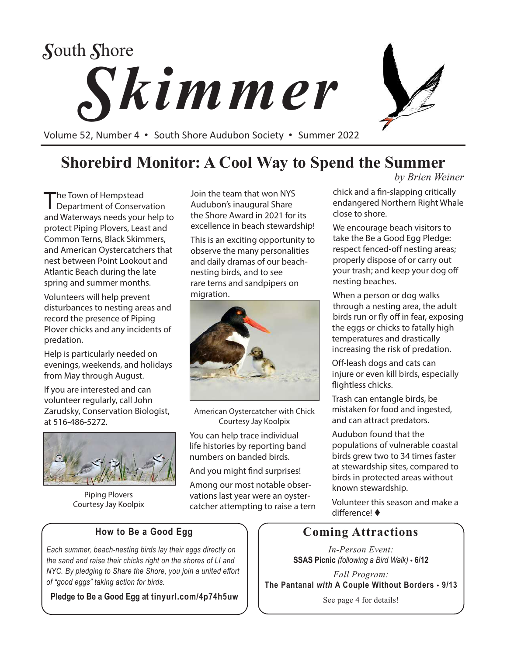# *Skimmer S*outh *S*hore

Volume 52, Number 4 • South Shore Audubon Society • Summer 2022

### **Shorebird Monitor: A Cool Way to Spend the Summer**

The Town of Hempstead Department of Conservation and Waterways needs your help to protect Piping Plovers, Least and Common Terns, Black Skimmers, and American Oystercatchers that nest between Point Lookout and Atlantic Beach during the late spring and summer months.

Volunteers will help prevent disturbances to nesting areas and record the presence of Piping Plover chicks and any incidents of predation.

Help is particularly needed on evenings, weekends, and holidays from May through August.

If you are interested and can volunteer regularly, call John Zarudsky, Conservation Biologist, at 516-486-5272.



Piping Plovers Courtesy Jay Koolpix

Join the team that won NYS Audubon's inaugural Share the Shore Award in 2021 for its excellence in beach stewardship!

This is an exciting opportunity to observe the many personalities and daily dramas of our beachnesting birds, and to see rare terns and sandpipers on migration.



American Oystercatcher with Chick Courtesy Jay Koolpix

You can help trace individual life histories by reporting band numbers on banded birds.

And you might find surprises!

Among our most notable observations last year were an oystercatcher attempting to raise a tern *by Brien Weiner*

chick and a fin-slapping critically endangered Northern Right Whale close to shore.

We encourage beach visitors to take the Be a Good Egg Pledge: respect fenced-off nesting areas; properly dispose of or carry out your trash; and keep your dog off nesting beaches.

When a person or dog walks through a nesting area, the adult birds run or fly off in fear, exposing the eggs or chicks to fatally high temperatures and drastically increasing the risk of predation.

Off-leash dogs and cats can injure or even kill birds, especially flightless chicks.

Trash can entangle birds, be mistaken for food and ingested, and can attract predators.

Audubon found that the populations of vulnerable coastal birds grew two to 34 times faster at stewardship sites, compared to birds in protected areas without known stewardship.

Volunteer this season and make a difference! ♦

### **Coming Attractions**

*In-Person Event:* **SSAS Picnic** *(following a Bird Walk)* • **6/12**

*Fall Program:* **The Pantanal** *with* **A Couple Without Borders** • **9/13**

See page 4 for details!

#### **How to Be a Good Egg**

*Each summer, beach-nesting birds lay their eggs directly on the sand and raise their chicks right on the shores of LI and NYC. By pledging to Share the Shore, you join a united effort of "good eggs" taking action for birds.* 

**Pledge to Be a Good Egg at tinyurl.com/4p74h5uw**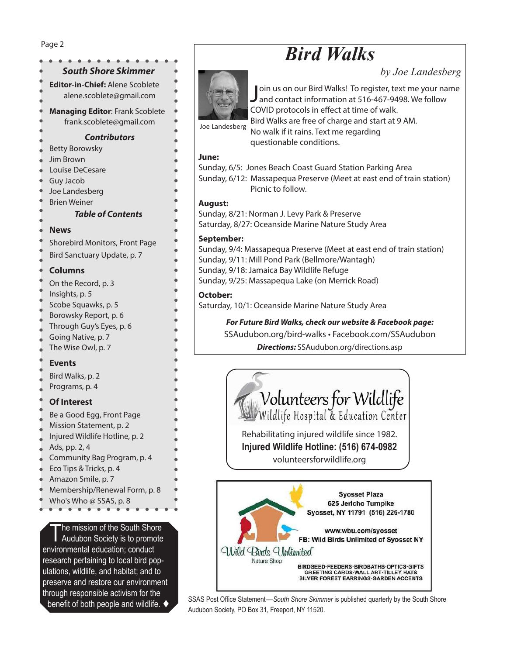#### *South Shore Skimmer* **Editor-in-Chief:** Alene Scoblete alene.scoblete@gmail.com **Managing Editor**: Frank Scoblete frank.scoblete@gmail.com *Contributors* Betty Borowsky Jim Brown Louise DeCesare Guy Jacob Joe Landesberg Brien Weiner *Table of Contents* **News** Shorebird Monitors, Front Page Bird Sanctuary Update, p. 7 **Columns** On the Record, p. 3 Insights, p. 5 Scobe Squawks, p. 5 Borowsky Report, p. 6 Through Guy's Eyes, p. 6 Going Native, p. 7 The Wise Owl, p. 7 **Events** Bird Walks, p. 2 Programs, p. 4 **Of Interest** Be a Good Egg, Front Page Mission Statement, p. 2 Injured Wildlife Hotline, p. 2 Ads, pp. 2, 4 Community Bag Program, p. 4 Eco Tips & Tricks, p. 4 Amazon Smile, p. 7 Membership/Renewal Form, p. 8 Who's Who @ SSAS, p. 8 Page 2

The mission of the South Shore Audubon Society is to promote environmental education; conduct research pertaining to local bird populations, wildlife, and habitat; and to preserve and restore our environment through responsible activism for the

## *Bird Walks*

*by Joe Landesberg*



Join us on our Bird Walks! To register, text me your na<br>Jand contact information at 516-467-9498. We follow oin us on our Bird Walks! To register, text me your name COVID protocols in effect at time of walk. Bird Walks are free of charge and start at 9 AM. No walk if it rains. Text me regarding

questionable conditions.

#### **June:**

Sunday, 6/5: Jones Beach Coast Guard Station Parking Area Sunday, 6/12: Massapequa Preserve (Meet at east end of train station) Picnic to follow.

#### **August:**

Sunday, 8/21: Norman J. Levy Park & Preserve Saturday, 8/27: Oceanside Marine Nature Study Area

#### **September:**

Sunday, 9/4: Massapequa Preserve (Meet at east end of train station) Sunday, 9/11: Mill Pond Park (Bellmore/Wantagh) Sunday, 9/18: Jamaica Bay Wildlife Refuge Sunday, 9/25: Massapequa Lake (on Merrick Road)

#### **October:**

Saturday, 10/1: Oceanside Marine Nature Study Area

*For Future Bird Walks, check our website & Facebook page:* SSAudubon.org/bird-walks • Facebook.com/SSAudubon *Directions:* SSAudubon.org/directions.asp



Rehabilitating injured wildlife since 1982. **Injured Wildlife Hotline: (516) 674-0982** volunteersforwildlife.org



**benefit of both people and wildlife.** SSAS Post Office Statement—*South Shore Skimmer* is published quarterly by the South Shore **benefit** of both people and wildlife. Audubon Society, PO Box 31, Freeport, NY 11520.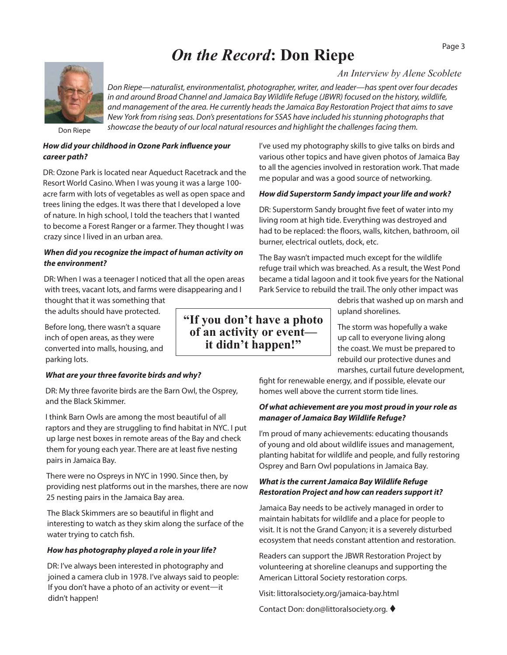### *On the Record***: Don Riepe**

*An Interview by Alene Scoblete*

*Don Riepe—naturalist, environmentalist, photographer, writer, and leader—has spent over four decades in and around Broad Channel and Jamaica Bay Wildlife Refuge (JBWR) focused on the history, wildlife, and management of the area. He currently heads the Jamaica Bay Restoration Project that aims to save New York from rising seas. Don's presentations for SSAS have included his stunning photographs that showcase the beauty of our local natural resources and highlight the challenges facing them.* 

Don Riepe

#### *How did your childhood in Ozone Park influence your career path?*

DR: Ozone Park is located near Aqueduct Racetrack and the Resort World Casino. When I was young it was a large 100 acre farm with lots of vegetables as well as open space and trees lining the edges. It was there that I developed a love of nature. In high school, I told the teachers that I wanted to become a Forest Ranger or a farmer. They thought I was crazy since I lived in an urban area.

#### *When did you recognize the impact of human activity on the environment?*

DR: When I was a teenager I noticed that all the open areas with trees, vacant lots, and farms were disappearing and I

thought that it was something that the adults should have protected.

Before long, there wasn't a square inch of open areas, as they were converted into malls, housing, and parking lots.

#### *What are your three favorite birds and why?*

DR: My three favorite birds are the Barn Owl, the Osprey, and the Black Skimmer.

I think Barn Owls are among the most beautiful of all raptors and they are struggling to find habitat in NYC. I put up large nest boxes in remote areas of the Bay and check them for young each year. There are at least five nesting pairs in Jamaica Bay.

There were no Ospreys in NYC in 1990. Since then, by providing nest platforms out in the marshes, there are now 25 nesting pairs in the Jamaica Bay area.

The Black Skimmers are so beautiful in flight and interesting to watch as they skim along the surface of the water trying to catch fish.

#### *How has photography played a role in your life?*

DR: I've always been interested in photography and joined a camera club in 1978. I've always said to people: If you don't have a photo of an activity or event—it didn't happen!

various other topics and have given photos of Jamaica Bay to all the agencies involved in restoration work. That made me popular and was a good source of networking.

I've used my photography skills to give talks on birds and

#### *How did Superstorm Sandy impact your life and work?*

DR: Superstorm Sandy brought five feet of water into my living room at high tide. Everything was destroyed and had to be replaced: the floors, walls, kitchen, bathroom, oil burner, electrical outlets, dock, etc.

The Bay wasn't impacted much except for the wildlife refuge trail which was breached. As a result, the West Pond became a tidal lagoon and it took five years for the National Park Service to rebuild the trail. The only other impact was

debris that washed up on marsh and upland shorelines.

The storm was hopefully a wake up call to everyone living along the coast. We must be prepared to rebuild our protective dunes and marshes, curtail future development,

fight for renewable energy, and if possible, elevate our homes well above the current storm tide lines.

#### *Of what achievement are you most proud in your role as manager of Jamaica Bay Wildlife Refuge?*

I'm proud of many achievements: educating thousands of young and old about wildlife issues and management, planting habitat for wildlife and people, and fully restoring Osprey and Barn Owl populations in Jamaica Bay.

#### *What is the current Jamaica Bay Wildlife Refuge Restoration Project and how can readers support it?*

Jamaica Bay needs to be actively managed in order to maintain habitats for wildlife and a place for people to visit. It is not the Grand Canyon; it is a severely disturbed ecosystem that needs constant attention and restoration.

Readers can support the JBWR Restoration Project by volunteering at shoreline cleanups and supporting the American Littoral Society restoration corps.

Visit: littoralsociety.org/jamaica-bay.html

Contact Don: don@littoralsociety.org.

**"If you don't have a photo of an activity or event it didn't happen!"**

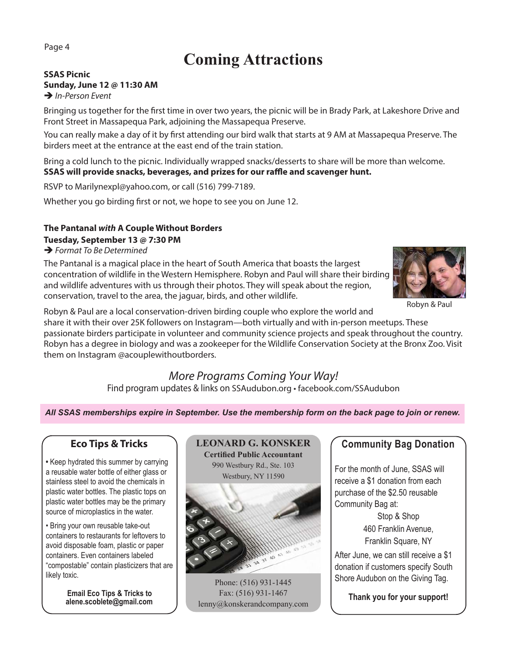### **Coming Attractions**

#### **SSAS Picnic Sunday, June 12 @ 11:30 AM → In-Person Event**

Bringing us together for the first time in over two years, the picnic will be in Brady Park, at Lakeshore Drive and Front Street in Massapequa Park, adjoining the Massapequa Preserve.

You can really make a day of it by first attending our bird walk that starts at 9 AM at Massapequa Preserve. The birders meet at the entrance at the east end of the train station.

Bring a cold lunch to the picnic. Individually wrapped snacks/desserts to share will be more than welcome. **SSAS will provide snacks, beverages, and prizes for our raffle and scavenger hunt.** 

RSVP to Marilynexpl@yahoo.com, or call (516) 799-7189.

Whether you go birding first or not, we hope to see you on June 12.

#### **The Pantanal** *with* **A Couple Without Borders Tuesday, September 13 @ 7:30 PM**

 *Format To Be Determined* 

The Pantanal is a magical place in the heart of South America that boasts the largest concentration of wildlife in the Western Hemisphere. Robyn and Paul will share their birding and wildlife adventures with us through their photos. They will speak about the region, conservation, travel to the area, the jaguar, birds, and other wildlife.



Robyn & Paul

Robyn & Paul are a local conservation-driven birding couple who explore the world and share it with their over 25K followers on Instagram—both virtually and with in-person meetups. These passionate birders participate in volunteer and community science projects and speak throughout the country. Robyn has a degree in biology and was a zookeeper for the Wildlife Conservation Society at the Bronx Zoo. Visit them on Instagram @acouplewithoutborders.

#### *More Programs Coming Your Way!* Find program updates & links on SSAudubon.org • facebook.com/SSAudubon

*All SSAS memberships expire in September. Use the membership form on the back page to join or renew.*

#### **Eco Tips & Tricks**

**•** Keep hydrated this summer by carrying a reusable water bottle of either glass or stainless steel to avoid the chemicals in plastic water bottles. The plastic tops on plastic water bottles may be the primary source of microplastics in the water.

• Bring your own reusable take-out containers to restaurants for leftovers to avoid disposable foam, plastic or paper containers. Even containers labeled "compostable" contain plasticizers that are likely toxic.

> **Email Eco Tips & Tricks to alene.scoblete@gmail.com**



Phone: (516) 931-1445 Fax: (516) 931-1467 lenny@konskerandcompany.com

#### **Community Bag Donation**

For the month of June, SSAS will receive a \$1 donation from each purchase of the \$2.50 reusable Community Bag at:

> Stop & Shop 460 Franklin Avenue, Franklin Square, NY

After June, we can still receive a \$1 donation if customers specify South Shore Audubon on the Giving Tag.

**Thank you for your support!**

Page 4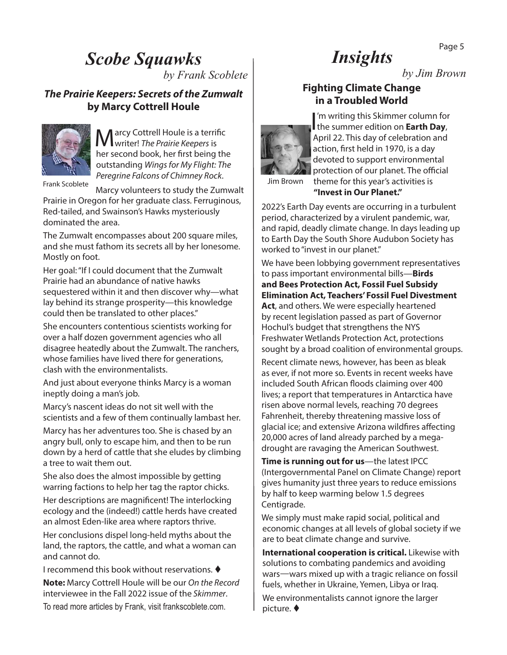### *Scobe Squawks*

*by Frank Scoblete*

#### *The Prairie Keepers: Secrets of the Zumwalt*  **by Marcy Cottrell Houle**



arcy Cottrell Houle is a terrific writer! *The Prairie Keepers* is her second book, her first being the outstanding *Wings for My Flight: The Peregrine Falcons of Chimney Rock*.

Frank Scoblete Processing Contract of Contract of Contract of Contract of Contract of Contract of Contract of Contract of Contract of Contract of Contract of Contract of Contract of Contract of Contract of Contract of Cont

Marcy volunteers to study the Zumwalt Prairie in Oregon for her graduate class. Ferruginous, Red-tailed, and Swainson's Hawks mysteriously dominated the area.

The Zumwalt encompasses about 200 square miles, and she must fathom its secrets all by her lonesome. Mostly on foot.

Her goal: "If I could document that the Zumwalt Prairie had an abundance of native hawks sequestered within it and then discover why—what lay behind its strange prosperity—this knowledge could then be translated to other places."

She encounters contentious scientists working for over a half dozen government agencies who all disagree heatedly about the Zumwalt. The ranchers, whose families have lived there for generations, clash with the environmentalists.

And just about everyone thinks Marcy is a woman ineptly doing a man's job.

Marcy's nascent ideas do not sit well with the scientists and a few of them continually lambast her.

Marcy has her adventures too. She is chased by an angry bull, only to escape him, and then to be run down by a herd of cattle that she eludes by climbing a tree to wait them out.

She also does the almost impossible by getting warring factions to help her tag the raptor chicks.

Her descriptions are magnificent! The interlocking ecology and the (indeed!) cattle herds have created an almost Eden-like area where raptors thrive.

Her conclusions dispel long-held myths about the land, the raptors, the cattle, and what a woman can and cannot do.

I recommend this book without reservations.  $\blacklozenge$ 

**Note:** Marcy Cottrell Houle will be our *On the Record* interviewee in the Fall 2022 issue of the *Skimmer*. To read more articles by Frank, visit frankscoblete.com.

### *Insights*

*by Jim Brown*

#### **Fighting Climate Change in a Troubled World**



I'm writing this Skimmer column for<br>the summer edition on **Earth Day**, 'm writing this Skimmer column for April 22. This day of celebration and action, first held in 1970, is a day devoted to support environmental protection of our planet. The official theme for this year's activities is

### **"Invest in Our Planet."**

2022's Earth Day events are occurring in a turbulent period, characterized by a virulent pandemic, war, and rapid, deadly climate change. In days leading up to Earth Day the South Shore Audubon Society has worked to "invest in our planet."

We have been lobbying government representatives to pass important environmental bills—**Birds and Bees Protection Act, Fossil Fuel Subsidy Elimination Act, Teachers' Fossil Fuel Divestment Act**, and others. We were especially heartened by recent legislation passed as part of Governor Hochul's budget that strengthens the NYS Freshwater Wetlands Protection Act, protections sought by a broad coalition of environmental groups.

Recent climate news, however, has been as bleak as ever, if not more so. Events in recent weeks have included South African floods claiming over 400 lives; a report that temperatures in Antarctica have risen above normal levels, reaching 70 degrees Fahrenheit, thereby threatening massive loss of glacial ice; and extensive Arizona wildfires affecting 20,000 acres of land already parched by a megadrought are ravaging the American Southwest.

**Time is running out for us**—the latest IPCC (Intergovernmental Panel on Climate Change) report gives humanity just three years to reduce emissions by half to keep warming below 1.5 degrees Centigrade.

We simply must make rapid social, political and economic changes at all levels of global society if we are to beat climate change and survive.

**International cooperation is critical.** Likewise with solutions to combating pandemics and avoiding wars—wars mixed up with a tragic reliance on fossil fuels, whether in Ukraine, Yemen, Libya or Iraq. We environmentalists cannot ignore the larger picture.  $\blacklozenge$ 

Page 5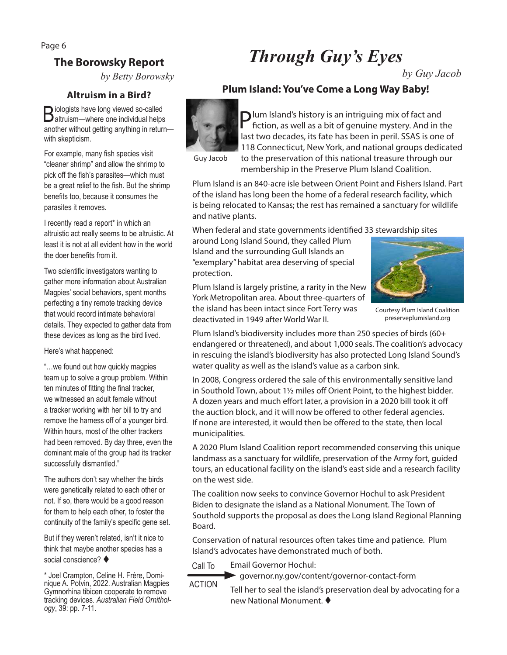Page 6

### **The Borowsky Report**

*by Betty Borowsky*

#### **Altruism in a Bird?**

Biologists have long viewed so-called altruism—where one individual helps another without getting anything in return with skepticism.

For example, many fish species visit "cleaner shrimp" and allow the shrimp to pick off the fish's parasites—which must be a great relief to the fish. But the shrimp benefits too, because it consumes the parasites it removes.

I recently read a report\* in which an altruistic act really seems to be altruistic. At least it is not at all evident how in the world the doer benefits from it.

Two scientific investigators wanting to gather more information about Australian Magpies' social behaviors, spent months perfecting a tiny remote tracking device that would record intimate behavioral details. They expected to gather data from these devices as long as the bird lived.

Here's what happened:

"…we found out how quickly magpies team up to solve a group problem. Within ten minutes of fitting the final tracker, we witnessed an adult female without a tracker working with her bill to try and remove the harness off of a younger bird. Within hours, most of the other trackers had been removed. By day three, even the dominant male of the group had its tracker successfully dismantled."

The authors don't say whether the birds were genetically related to each other or not. If so, there would be a good reason for them to help each other, to foster the continuity of the family's specific gene set.

But if they weren't related, isn't it nice to think that maybe another species has a social conscience?  $\blacklozenge$ 

\* Joel Crampton, Celine H. Frère, Dominique A. Potvin, 2022. Australian Magpies Gymnorhina tibicen cooperate to remove tracking devices. *Australian Field Ornithol- ogy*, 39: pp. 7-11.

# *Through Guy's Eyes*

**Plum Island: You've Come a Long Way Baby!** 

*by Guy Jacob*

Plum Island's history is an intriguing mix of fact and fiction, as well as a bit of genuine mystery. And in the last two decades, its fate has been in peril. SSAS is one of 118 Connecticut, New York, and national groups dedicated to the preservation of this national treasure through our

Guy Jacob

membership in the Preserve Plum Island Coalition.

Plum Island is an 840-acre isle between Orient Point and Fishers Island. Part of the island has long been the home of a federal research facility, which is being relocated to Kansas; the rest has remained a sanctuary for wildlife and native plants.

When federal and state governments identified 33 stewardship sites

around Long Island Sound, they called Plum Island and the surrounding Gull Islands an "exemplary" habitat area deserving of special protection.

Plum Island is largely pristine, a rarity in the New York Metropolitan area. About three-quarters of the island has been intact since Fort Terry was deactivated in 1949 after World War II.



Courtesy Plum Island Coalition preserveplumisland.org

Plum Island's biodiversity includes more than 250 species of birds (60+ endangered or threatened), and about 1,000 seals. The coalition's advocacy in rescuing the island's biodiversity has also protected Long Island Sound's water quality as well as the island's value as a carbon sink.

In 2008, Congress ordered the sale of this environmentally sensitive land in Southold Town, about 1½ miles off Orient Point, to the highest bidder. A dozen years and much effort later, a provision in a 2020 bill took it off the auction block, and it will now be offered to other federal agencies. If none are interested, it would then be offered to the state, then local municipalities.

A 2020 Plum Island Coalition report recommended conserving this unique landmass as a sanctuary for wildlife, preservation of the Army fort, guided tours, an educational facility on the island's east side and a research facility on the west side.

The coalition now seeks to convince Governor Hochul to ask President Biden to designate the island as a National Monument. The Town of Southold supports the proposal as does the Long Island Regional Planning Board.

Conservation of natural resources often takes time and patience. Plum Island's advocates have demonstrated much of both.

Call To Email Governor Hochul:

governor.ny.gov/content/governor-contact-form

ACTION

Tell her to seal the island's preservation deal by advocating for a new National Monument.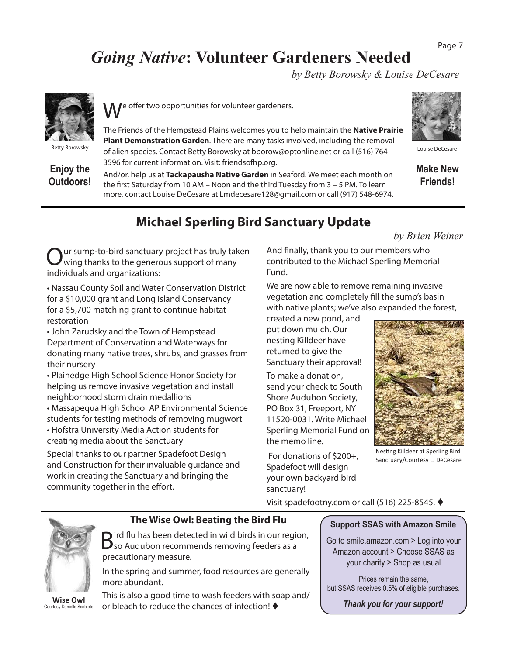#### Page 7

### *Going Native***: Volunteer Gardeners Needed**

*by Betty Borowsky & Louise DeCesare*



Betty Borowsky

**Enjoy the Outdoors!** e offer two opportunities for volunteer gardeners.

The Friends of the Hempstead Plains welcomes you to help maintain the **Native Prairie Plant Demonstration Garden**. There are many tasks involved, including the removal of alien species. Contact Betty Borowsky at bborow@optonline.net or call (516) 764- 3596 for current information. Visit: friendsofhp.org.

And/or, help us at **Tackapausha Native Garden** in Seaford. We meet each month on the first Saturday from 10 AM – Noon and the third Tuesday from 3 – 5 PM. To learn more, contact Louise DeCesare at Lmdecesare128@gmail.com or call (917) 548-6974.



Louise DeCesare

**Make New Friends!**

### **Michael Sperling Bird Sanctuary Update**

*by Brien Weiner*

ur sump-to-bird sanctuary project has truly taken wing thanks to the generous support of many individuals and organizations:

• Nassau County Soil and Water Conservation District for a \$10,000 grant and Long Island Conservancy for a \$5,700 matching grant to continue habitat restoration

• John Zarudsky and the Town of Hempstead Department of Conservation and Waterways for donating many native trees, shrubs, and grasses from their nursery

• Plainedge High School Science Honor Society for helping us remove invasive vegetation and install neighborhood storm drain medallions

• Massapequa High School AP Environmental Science students for testing methods of removing mugwort • Hofstra University Media Action students for

creating media about the Sanctuary

Special thanks to our partner Spadefoot Design and Construction for their invaluable guidance and work in creating the Sanctuary and bringing the community together in the effort.

And finally, thank you to our members who contributed to the Michael Sperling Memorial Fund.

We are now able to remove remaining invasive vegetation and completely fill the sump's basin with native plants; we've also expanded the forest,

created a new pond, and put down mulch. Our nesting Killdeer have returned to give the Sanctuary their approval!

To make a donation, send your check to South Shore Audubon Society, PO Box 31, Freeport, NY 11520-0031. Write Michael Sperling Memorial Fund on the memo line.

 For donations of \$200+, Spadefoot will design your own backyard bird sanctuary!



Nesting Killdeer at Sperling Bird Sanctuary/Courtesy L. DeCesare

Visit spadefootny.com or call (516) 225-8545.



Courtesy Danielle Scoblete

**The Wise Owl: Beating the Bird Flu**

Bird flu has been detected in wild birds in our region, so Audubon recommends removing feeders as a precautionary measure.

In the spring and summer, food resources are generally more abundant.

This is also a good time to wash feeders with soap and/ or bleach to reduce the chances of infection!

#### **Support SSAS with Amazon Smile**

Go to smile.amazon.com > Log into your Amazon account > Choose SSAS as your charity > Shop as usual

Prices remain the same, but SSAS receives 0.5% of eligible purchases.

*Thank you for your support!*